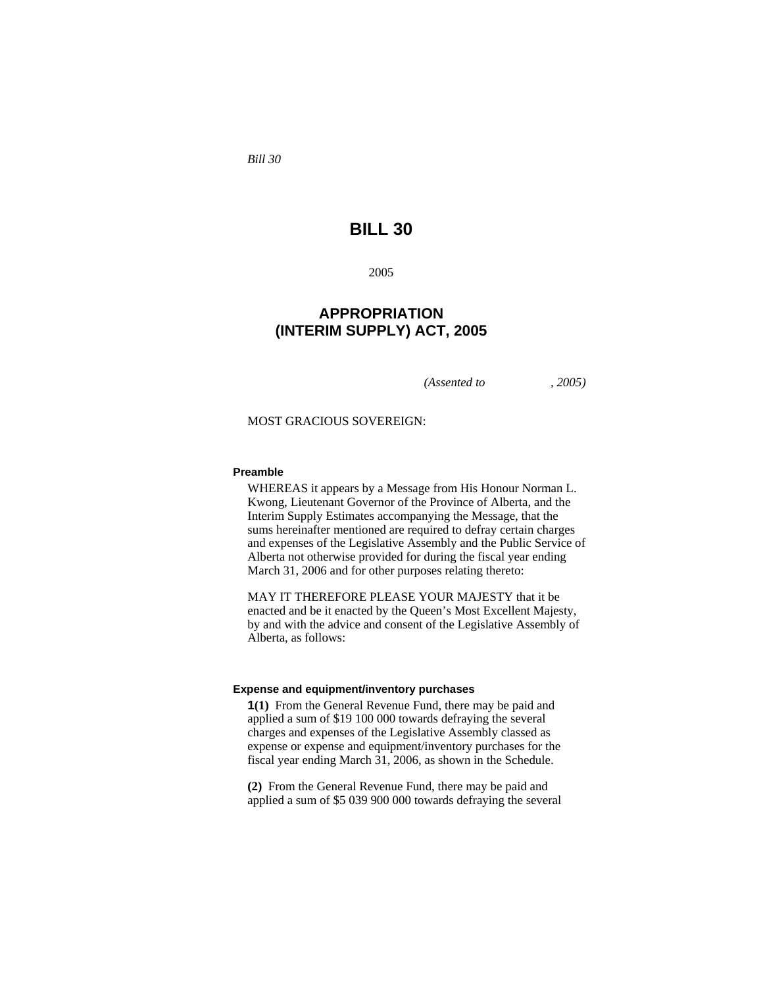*Bill 30* 

# **BILL 30**

2005

# **APPROPRIATION (INTERIM SUPPLY) ACT, 2005**

*(Assented to , 2005)* 

MOST GRACIOUS SOVEREIGN:

### **Preamble**

WHEREAS it appears by a Message from His Honour Norman L. Kwong, Lieutenant Governor of the Province of Alberta, and the Interim Supply Estimates accompanying the Message, that the sums hereinafter mentioned are required to defray certain charges and expenses of the Legislative Assembly and the Public Service of Alberta not otherwise provided for during the fiscal year ending March 31, 2006 and for other purposes relating thereto:

MAY IT THEREFORE PLEASE YOUR MAJESTY that it be enacted and be it enacted by the Queen's Most Excellent Majesty, by and with the advice and consent of the Legislative Assembly of Alberta, as follows:

#### **Expense and equipment/inventory purchases**

**1(1)** From the General Revenue Fund, there may be paid and applied a sum of \$19 100 000 towards defraying the several charges and expenses of the Legislative Assembly classed as expense or expense and equipment/inventory purchases for the fiscal year ending March 31, 2006, as shown in the Schedule.

**(2)** From the General Revenue Fund, there may be paid and applied a sum of \$5 039 900 000 towards defraying the several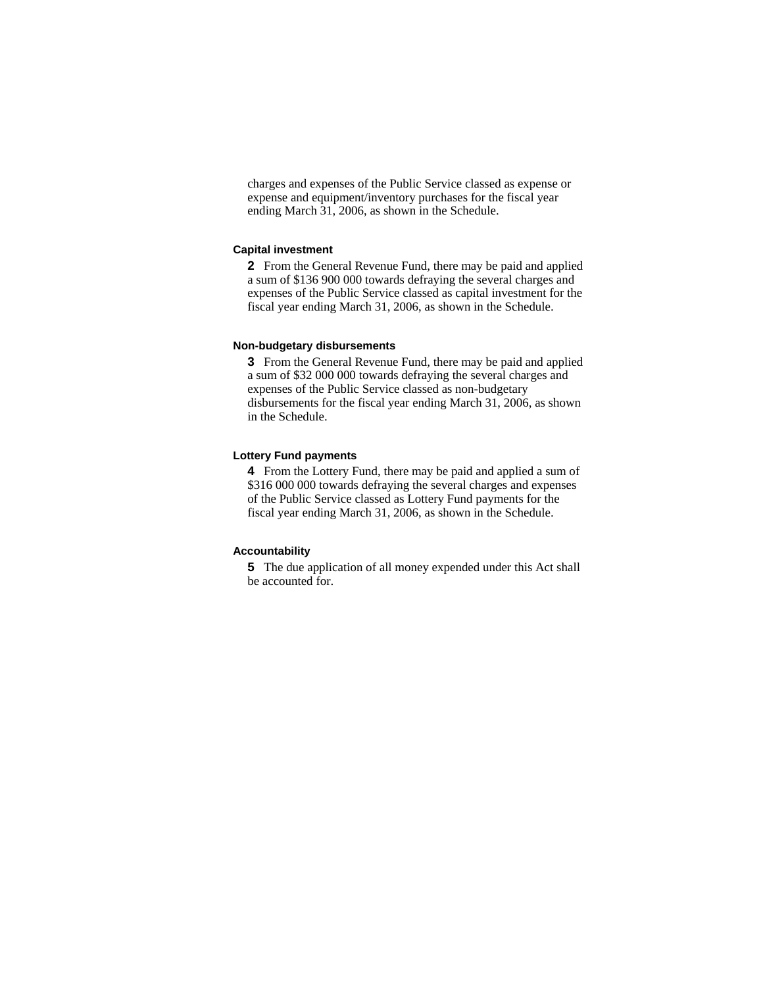charges and expenses of the Public Service classed as expense or expense and equipment/inventory purchases for the fiscal year ending March 31, 2006, as shown in the Schedule.

#### **Capital investment**

**2** From the General Revenue Fund, there may be paid and applied a sum of \$136 900 000 towards defraying the several charges and expenses of the Public Service classed as capital investment for the fiscal year ending March 31, 2006, as shown in the Schedule.

#### **Non-budgetary disbursements**

**3** From the General Revenue Fund, there may be paid and applied a sum of \$32 000 000 towards defraying the several charges and expenses of the Public Service classed as non-budgetary disbursements for the fiscal year ending March 31, 2006, as shown in the Schedule.

### **Lottery Fund payments**

**4** From the Lottery Fund, there may be paid and applied a sum of \$316 000 000 towards defraying the several charges and expenses of the Public Service classed as Lottery Fund payments for the fiscal year ending March 31, 2006, as shown in the Schedule.

#### **Accountability**

**5** The due application of all money expended under this Act shall be accounted for.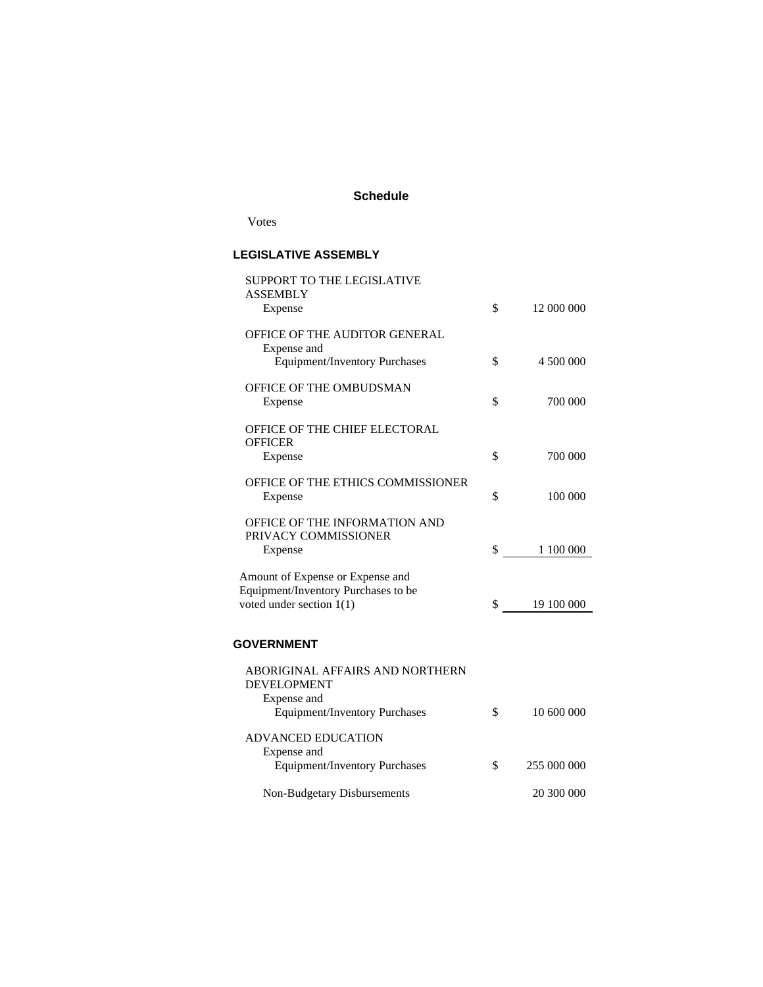## **Schedule**

Votes

## **LEGISLATIVE ASSEMBLY**

| <b>SUPPORT TO THE LEGISLATIVE</b>    |                   |
|--------------------------------------|-------------------|
| <b>ASSEMBLY</b>                      |                   |
| Expense                              | \$<br>12 000 000  |
| OFFICE OF THE AUDITOR GENERAL        |                   |
|                                      |                   |
| Expense and                          | \$<br>4 500 000   |
| <b>Equipment/Inventory Purchases</b> |                   |
| OFFICE OF THE OMBUDSMAN              |                   |
| Expense                              | \$<br>700 000     |
|                                      |                   |
| OFFICE OF THE CHIEF ELECTORAL        |                   |
| <b>OFFICER</b>                       |                   |
| Expense                              | \$<br>700 000     |
|                                      |                   |
| OFFICE OF THE ETHICS COMMISSIONER    |                   |
| Expense                              | \$<br>100 000     |
|                                      |                   |
| <b>OFFICE OF THE INFORMATION AND</b> |                   |
| PRIVACY COMMISSIONER                 |                   |
| Expense                              | \$<br>1 100 000   |
|                                      |                   |
| Amount of Expense or Expense and     |                   |
| Equipment/Inventory Purchases to be  |                   |
| voted under section $1(1)$           | \$<br>19 100 000  |
|                                      |                   |
| <b>GOVERNMENT</b>                    |                   |
|                                      |                   |
| ABORIGINAL AFFAIRS AND NORTHERN      |                   |
| <b>DEVELOPMENT</b>                   |                   |
| Expense and                          |                   |
| <b>Equipment/Inventory Purchases</b> | \$<br>10 600 000  |
|                                      |                   |
| <b>ADVANCED EDUCATION</b>            |                   |
| Expense and                          |                   |
| <b>Equipment/Inventory Purchases</b> | \$<br>255 000 000 |

 Non-Budgetary Disbursements 20 300 000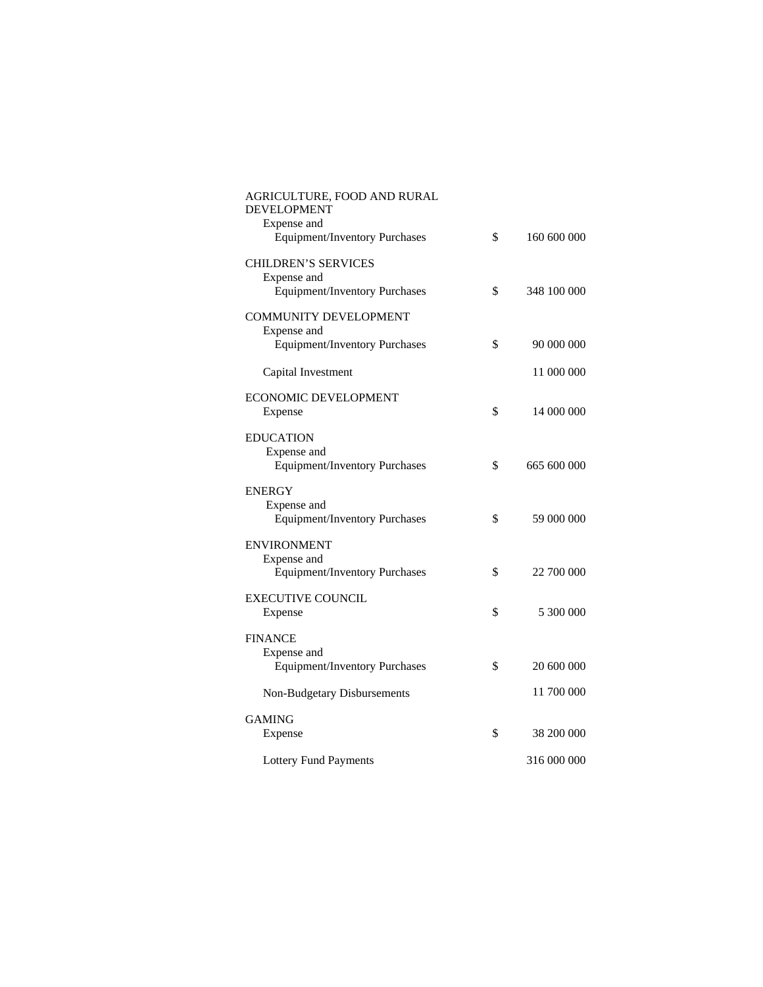| AGRICULTURE, FOOD AND RURAL<br><b>DEVELOPMENT</b><br>Expense and |                   |
|------------------------------------------------------------------|-------------------|
| <b>Equipment/Inventory Purchases</b>                             | \$<br>160 600 000 |
| <b>CHILDREN'S SERVICES</b><br>Expense and                        |                   |
| <b>Equipment/Inventory Purchases</b>                             | \$<br>348 100 000 |
| <b>COMMUNITY DEVELOPMENT</b><br>Expense and                      |                   |
| <b>Equipment/Inventory Purchases</b>                             | \$<br>90 000 000  |
| Capital Investment                                               | 11 000 000        |
| <b>ECONOMIC DEVELOPMENT</b>                                      |                   |
| Expense                                                          | \$<br>14 000 000  |
| <b>EDUCATION</b><br>Expense and                                  |                   |
| Equipment/Inventory Purchases                                    | \$<br>665 600 000 |
| <b>ENERGY</b><br>Expense and                                     |                   |
| <b>Equipment/Inventory Purchases</b>                             | \$<br>59 000 000  |
| <b>ENVIRONMENT</b>                                               |                   |
| Expense and<br><b>Equipment/Inventory Purchases</b>              | \$<br>22 700 000  |
| <b>EXECUTIVE COUNCIL</b>                                         |                   |
| Expense                                                          | \$<br>5 300 000   |
| <b>FINANCE</b><br>Expense and                                    |                   |
| <b>Equipment/Inventory Purchases</b>                             | \$<br>20 600 000  |
| Non-Budgetary Disbursements                                      | 11 700 000        |
| <b>GAMING</b>                                                    |                   |
| Expense                                                          | \$<br>38 200 000  |
| <b>Lottery Fund Payments</b>                                     | 316 000 000       |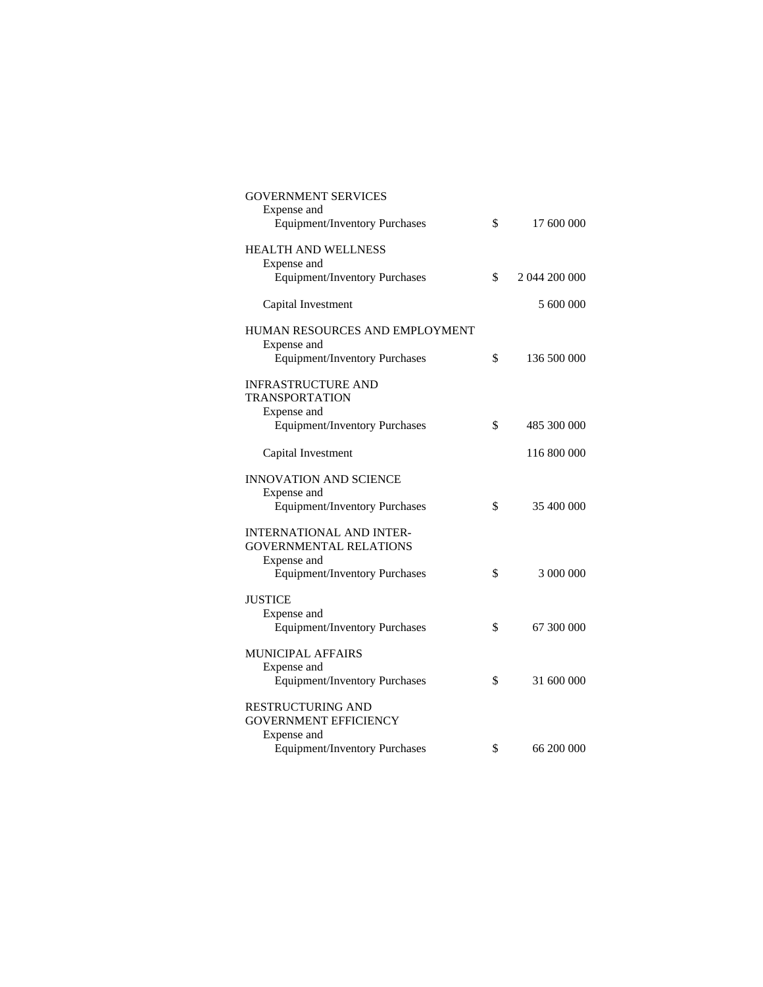| <b>GOVERNMENT SERVICES</b>                          |                     |
|-----------------------------------------------------|---------------------|
| Expense and                                         |                     |
| <b>Equipment/Inventory Purchases</b>                | \$<br>17 600 000    |
|                                                     |                     |
| <b>HEALTH AND WELLNESS</b>                          |                     |
| Expense and                                         |                     |
| <b>Equipment/Inventory Purchases</b>                | \$<br>2 044 200 000 |
| Capital Investment                                  | 5 600 000           |
|                                                     |                     |
| HUMAN RESOURCES AND EMPLOYMENT                      |                     |
| Expense and                                         |                     |
| <b>Equipment/Inventory Purchases</b>                | \$<br>136 500 000   |
|                                                     |                     |
| <b>INFRASTRUCTURE AND</b>                           |                     |
| <b>TRANSPORTATION</b>                               |                     |
| Expense and                                         |                     |
| <b>Equipment/Inventory Purchases</b>                | \$<br>485 300 000   |
|                                                     |                     |
| Capital Investment                                  | 116 800 000         |
|                                                     |                     |
| <b>INNOVATION AND SCIENCE</b>                       |                     |
| Expense and                                         |                     |
| <b>Equipment/Inventory Purchases</b>                | \$<br>35 400 000    |
| <b>INTERNATIONAL AND INTER-</b>                     |                     |
| <b>GOVERNMENTAL RELATIONS</b>                       |                     |
|                                                     |                     |
| Expense and<br><b>Equipment/Inventory Purchases</b> | \$<br>3 000 000     |
|                                                     |                     |
| <b>JUSTICE</b>                                      |                     |
| Expense and                                         |                     |
| <b>Equipment/Inventory Purchases</b>                | \$<br>67 300 000    |
|                                                     |                     |
| <b>MUNICIPAL AFFAIRS</b>                            |                     |
| Expense and                                         |                     |
| <b>Equipment/Inventory Purchases</b>                | \$<br>31 600 000    |
|                                                     |                     |
| <b>RESTRUCTURING AND</b>                            |                     |
| <b>GOVERNMENT EFFICIENCY</b>                        |                     |
| Expense and                                         |                     |
| <b>Equipment/Inventory Purchases</b>                | \$<br>66 200 000    |